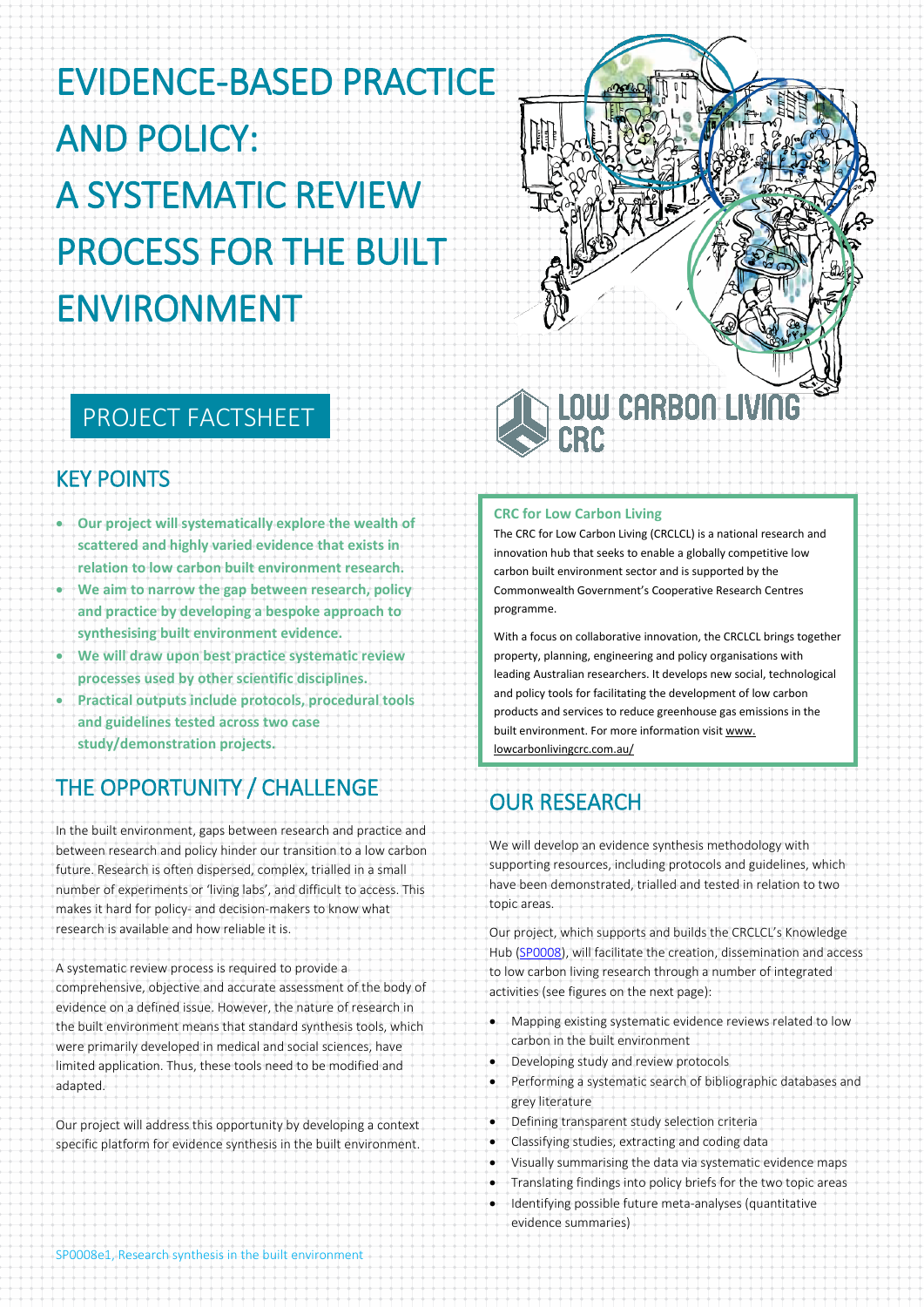EVIDENCE-BASED PRACTICE AND POLICY: A SYSTEMATIC REVIEW PROCESS FOR THE BUILT ENVIRONMENT



## PROJECT FACTSHEET

#### KEY POINTS

- **Our project will systematically explore the wealth of scattered and highly varied evidence that exists in relation to low carbon built environment research.**
- **We aim to narrow the gap between research, policy and practice by developing a bespoke approach to synthesising built environment evidence.**
- **We will draw upon best practice systematic review processes used by other scientific disciplines.**
- **Practical outputs include protocols, procedural tools and guidelines tested across two case study/demonstration projects.**

## THE OPPORTUNITY / CHALLENGE

In the built environment, gaps between research and practice and between research and policy hinder our transition to a low carbon future. Research is often dispersed, complex, trialled in a small number of experiments or 'living labs', and difficult to access. This makes it hard for policy- and decision-makers to know what research is available and how reliable it is.

A systematic review process is required to provide a comprehensive, objective and accurate assessment of the body of evidence on a defined issue. However, the nature of research in the built environment means that standard synthesis tools, which were primarily developed in medical and social sciences, have limited application. Thus, these tools need to be modified and adapted.

Our project will address this opportunity by developing a context specific platform for evidence synthesis in the built environment.

#### **CRC for Low Carbon Living**

The CRC for Low Carbon Living (CRCLCL) is a national research and innovation hub that seeks to enable a globally competitive low carbon built environment sector and is supported by the Commonwealth Government's Cooperative Research Centres programme.

With a focus on collaborative innovation, the CRCLCL brings together property, planning, engineering and policy organisations with leading Australian researchers. It develops new social, technological and policy tools for facilitating the development of low carbon products and services to reduce greenhouse gas emissions in the built environment. For more information visit www. lowcarbonlivingcrc.com.au/

# OUR RESEARCH

We will develop an evidence synthesis methodology with supporting resources, including protocols and guidelines, which have been demonstrated, trialled and tested in relation to two topic areas.

Our project, which supports and builds the CRCLCL's Knowledge Hub [\(SP0008\)](http://www.lowcarbonlivingcrc.com.au/research/program-3-engaged-communities/sp0008-low-carbon-built-environment-knowledge-hub), will facilitate the creation, dissemination and access to low carbon living research through a number of integrated activities (see figures on the next page):

- Mapping existing systematic evidence reviews related to low carbon in the built environment
- Developing study and review protocols
- Performing a systematic search of bibliographic databases and grey literature
- Defining transparent study selection criteria
- Classifying studies, extracting and coding data
- Visually summarising the data via systematic evidence maps
- Translating findings into policy briefs for the two topic areas
- Identifying possible future meta-analyses (quantitative evidence summaries)